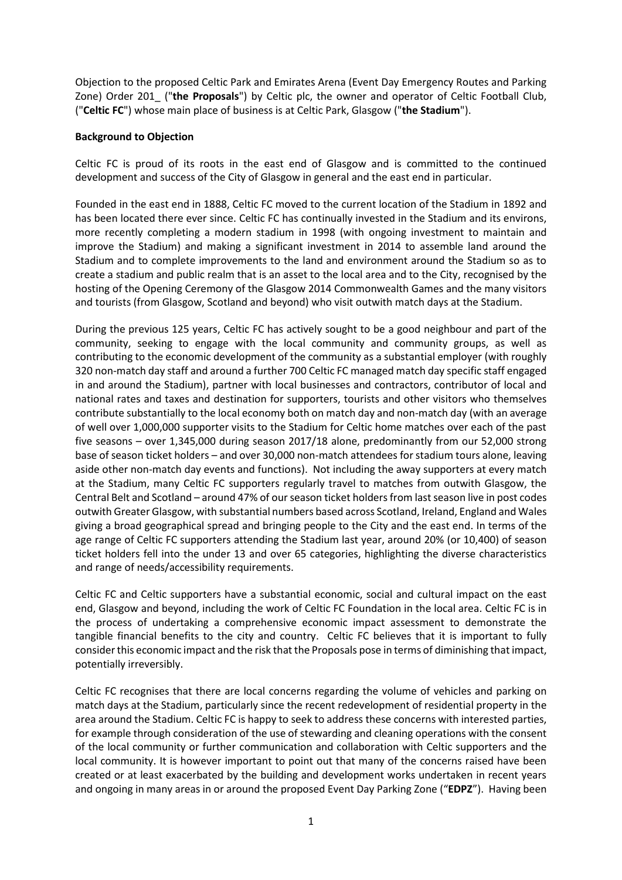Objection to the proposed Celtic Park and Emirates Arena (Event Day Emergency Routes and Parking Zone) Order 201\_ ("**the Proposals**") by Celtic plc, the owner and operator of Celtic Football Club, ("**Celtic FC**") whose main place of business is at Celtic Park, Glasgow ("**the Stadium**").

#### **Background to Objection**

 Celtic FC is proud of its roots in the east end of Glasgow and is committed to the continued development and success of the City of Glasgow in general and the east end in particular.

 Founded in the east end in 1888, Celtic FC moved to the current location of the Stadium in 1892 and has been located there ever since. Celtic FC has continually invested in the Stadium and its environs, more recently completing a modern stadium in 1998 (with ongoing investment to maintain and improve the Stadium) and making a significant investment in 2014 to assemble land around the Stadium and to complete improvements to the land and environment around the Stadium so as to create a stadium and public realm that is an asset to the local area and to the City, recognised by the hosting of the Opening Ceremony of the Glasgow 2014 Commonwealth Games and the many visitors and tourists (from Glasgow, Scotland and beyond) who visit outwith match days at the Stadium.

 During the previous 125 years, Celtic FC has actively sought to be a good neighbour and part of the community, seeking to engage with the local community and community groups, as well as contributing to the economic development of the community as a substantial employer (with roughly 320 non-match day staff and around a further 700 Celtic FC managed match day specific staff engaged in and around the Stadium), partner with local businesses and contractors, contributor of local and national rates and taxes and destination for supporters, tourists and other visitors who themselves contribute substantially to the local economy both on match day and non-match day (with an average of well over 1,000,000 supporter visits to the Stadium for Celtic home matches over each of the past five seasons – over 1,345,000 during season 2017/18 alone, predominantly from our 52,000 strong base of season ticket holders – and over 30,000 non-match attendees for stadium tours alone, leaving aside other non-match day events and functions). Not including the away supporters at every match at the Stadium, many Celtic FC supporters regularly travel to matches from outwith Glasgow, the Central Belt and Scotland – around 47% of our season ticket holders from last season live in post codes outwith Greater Glasgow, with substantial numbers based across Scotland, Ireland, England and Wales giving a broad geographical spread and bringing people to the City and the east end. In terms of the age range of Celtic FC supporters attending the Stadium last year, around 20% (or 10,400) of season ticket holders fell into the under 13 and over 65 categories, highlighting the diverse characteristics and range of needs/accessibility requirements.

 Celtic FC and Celtic supporters have a substantial economic, social and cultural impact on the east end, Glasgow and beyond, including the work of Celtic FC Foundation in the local area. Celtic FC is in the process of undertaking a comprehensive economic impact assessment to demonstrate the tangible financial benefits to the city and country. Celtic FC believes that it is important to fully consider this economic impact and the risk that the Proposals pose in terms of diminishing that impact, potentially irreversibly.

 Celtic FC recognises that there are local concerns regarding the volume of vehicles and parking on area around the Stadium. Celtic FC is happy to seek to address these concerns with interested parties, for example through consideration of the use of stewarding and cleaning operations with the consent of the local community or further communication and collaboration with Celtic supporters and the created or at least exacerbated by the building and development works undertaken in recent years and ongoing in many areas in or around the proposed Event Day Parking Zone ("**EDPZ**"). Having been match days at the Stadium, particularly since the recent redevelopment of residential property in the local community. It is however important to point out that many of the concerns raised have been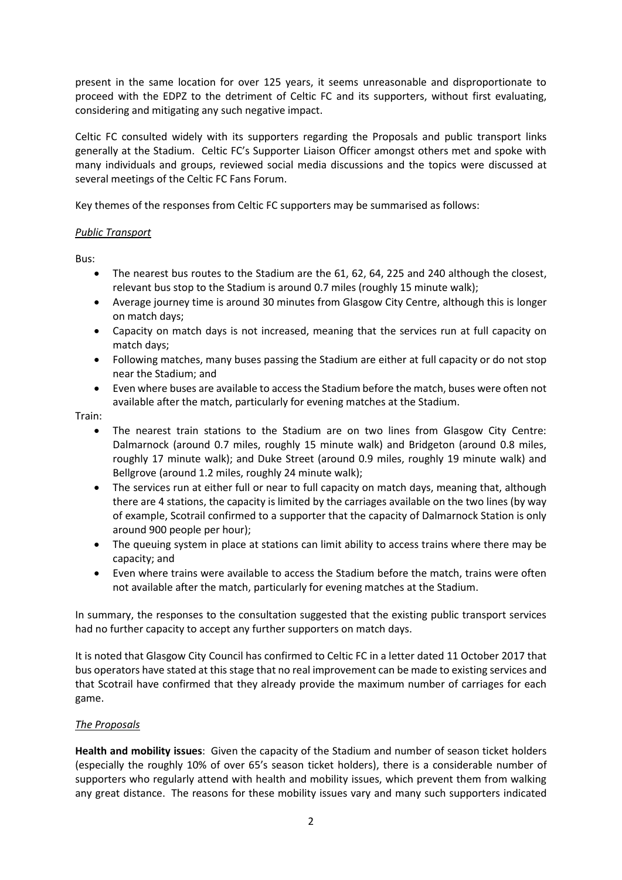present in the same location for over 125 years, it seems unreasonable and disproportionate to proceed with the EDPZ to the detriment of Celtic FC and its supporters, without first evaluating, considering and mitigating any such negative impact.

 Celtic FC consulted widely with its supporters regarding the Proposals and public transport links generally at the Stadium. Celtic FC's Supporter Liaison Officer amongst others met and spoke with many individuals and groups, reviewed social media discussions and the topics were discussed at several meetings of the Celtic FC Fans Forum.

Key themes of the responses from Celtic FC supporters may be summarised as follows:

# *Public Transport*

Bus:

- The nearest bus routes to the Stadium are the 61, 62, 64, 225 and 240 although the closest, relevant bus stop to the Stadium is around 0.7 miles (roughly 15 minute walk);
- Average journey time is around 30 minutes from Glasgow City Centre, although this is longer on match days;
- Capacity on match days is not increased, meaning that the services run at full capacity on match days;
- Following matches, many buses passing the Stadium are either at full capacity or do not stop near the Stadium; and
- Even where buses are available to access the Stadium before the match, buses were often not available after the match, particularly for evening matches at the Stadium.

Train:

- The nearest train stations to the Stadium are on two lines from Glasgow City Centre: Dalmarnock (around 0.7 miles, roughly 15 minute walk) and Bridgeton (around 0.8 miles, roughly 17 minute walk); and Duke Street (around 0.9 miles, roughly 19 minute walk) and Bellgrove (around 1.2 miles, roughly 24 minute walk);
- The services run at either full or near to full capacity on match days, meaning that, although there are 4 stations, the capacity is limited by the carriages available on the two lines (by way of example, Scotrail confirmed to a supporter that the capacity of Dalmarnock Station is only around 900 people per hour);
- The queuing system in place at stations can limit ability to access trains where there may be capacity; and
- Even where trains were available to access the Stadium before the match, trains were often not available after the match, particularly for evening matches at the Stadium.

 In summary, the responses to the consultation suggested that the existing public transport services had no further capacity to accept any further supporters on match days.

 bus operators have stated at this stage that no real improvement can be made to existing services and that Scotrail have confirmed that they already provide the maximum number of carriages for each It is noted that Glasgow City Council has confirmed to Celtic FC in a letter dated 11 October 2017 that game.

## *The Proposals*

 **Health and mobility issues**: Given the capacity of the Stadium and number of season ticket holders (especially the roughly 10% of over 65's season ticket holders), there is a considerable number of supporters who regularly attend with health and mobility issues, which prevent them from walking any great distance. The reasons for these mobility issues vary and many such supporters indicated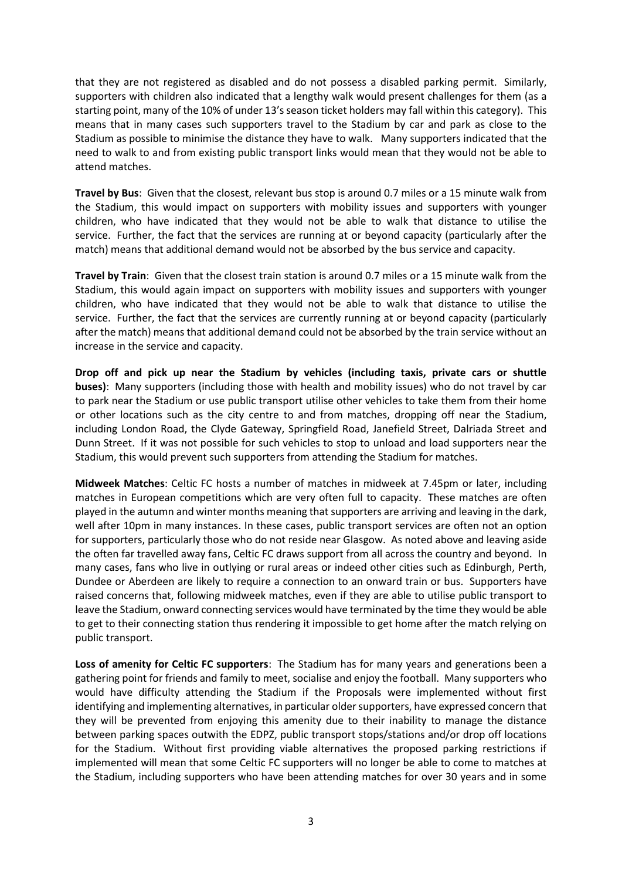that they are not registered as disabled and do not possess a disabled parking permit. Similarly, supporters with children also indicated that a lengthy walk would present challenges for them (as a means that in many cases such supporters travel to the Stadium by car and park as close to the Stadium as possible to minimise the distance they have to walk. Many supporters indicated that the need to walk to and from existing public transport links would mean that they would not be able to attend matches. starting point, many of the 10% of under 13's season ticket holders may fall within this category). This

 the Stadium, this would impact on supporters with mobility issues and supporters with younger children, who have indicated that they would not be able to walk that distance to utilise the service. Further, the fact that the services are running at or beyond capacity (particularly after the **Travel by Bus**: Given that the closest, relevant bus stop is around 0.7 miles or a 15 minute walk from match) means that additional demand would not be absorbed by the bus service and capacity.

 **Travel by Train**: Given that the closest train station is around 0.7 miles or a 15 minute walk from the Stadium, this would again impact on supporters with mobility issues and supporters with younger children, who have indicated that they would not be able to walk that distance to utilise the service. Further, the fact that the services are currently running at or beyond capacity (particularly after the match) means that additional demand could not be absorbed by the train service without an increase in the service and capacity.

 **Drop off and pick up near the Stadium by vehicles (including taxis, private cars or shuttle buses)**: Many supporters (including those with health and mobility issues) who do not travel by car to park near the Stadium or use public transport utilise other vehicles to take them from their home or other locations such as the city centre to and from matches, dropping off near the Stadium, including London Road, the Clyde Gateway, Springfield Road, Janefield Street, Dalriada Street and Dunn Street. If it was not possible for such vehicles to stop to unload and load supporters near the Stadium, this would prevent such supporters from attending the Stadium for matches.

 **Midweek Matches**: Celtic FC hosts a number of matches in midweek at 7.45pm or later, including matches in European competitions which are very often full to capacity. These matches are often played in the autumn and winter months meaning that supporters are arriving and leaving in the dark, well after 10pm in many instances. In these cases, public transport services are often not an option the often far travelled away fans, Celtic FC draws support from all across the country and beyond. In many cases, fans who live in outlying or rural areas or indeed other cities such as Edinburgh, Perth, Dundee or Aberdeen are likely to require a connection to an onward train or bus. Supporters have raised concerns that, following midweek matches, even if they are able to utilise public transport to leave the Stadium, onward connecting services would have terminated by the time they would be able for supporters, particularly those who do not reside near Glasgow. As noted above and leaving aside to get to their connecting station thus rendering it impossible to get home after the match relying on public transport.

 **Loss of amenity for Celtic FC supporters**: The Stadium has for many years and generations been a gathering point for friends and family to meet, socialise and enjoy the football. Many supporters who would have difficulty attending the Stadium if the Proposals were implemented without first identifying and implementing alternatives, in particular older supporters, have expressed concern that they will be prevented from enjoying this amenity due to their inability to manage the distance between parking spaces outwith the EDPZ, public transport stops/stations and/or drop off locations implemented will mean that some Celtic FC supporters will no longer be able to come to matches at the Stadium, including supporters who have been attending matches for over 30 years and in some for the Stadium. Without first providing viable alternatives the proposed parking restrictions if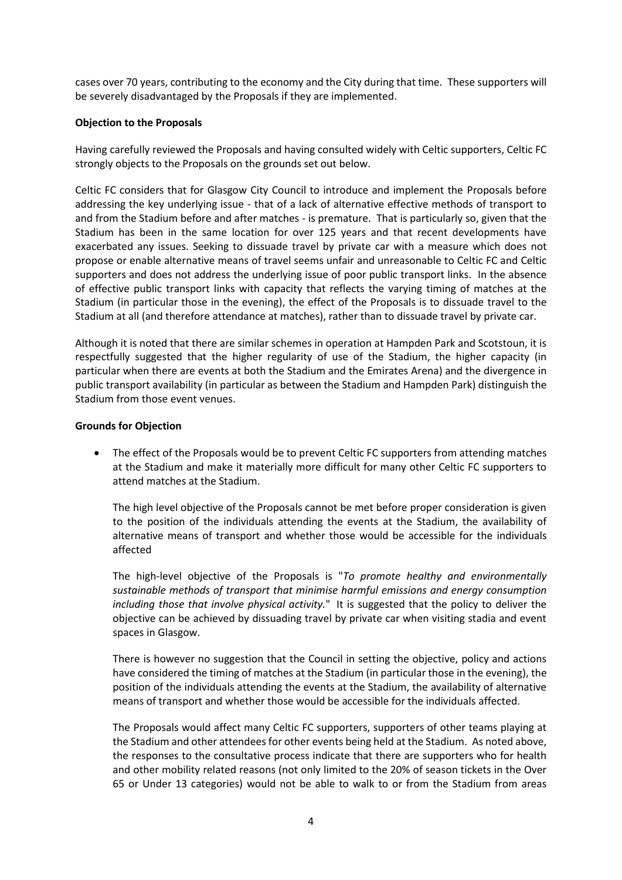cases over 70 years, contributing to the economy and the City during that time. These supporters will be severely disadvantaged by the Proposals if they are implemented.

#### **Objection to the Proposals**

Having carefully reviewed the Proposals and having consulted widely with Celtic supporters, Celtic FC strongly objects to the Proposals on the grounds set out below.

 Celtic FC considers that for Glasgow City Council to introduce and implement the Proposals before addressing the key underlying issue - that of a lack of alternative effective methods of transport to and from the Stadium before and after matches - is premature. That is particularly so, given that the Stadium has been in the same location for over 125 years and that recent developments have exacerbated any issues. Seeking to dissuade travel by private car with a measure which does not propose or enable alternative means of travel seems unfair and unreasonable to Celtic FC and Celtic supporters and does not address the underlying issue of poor public transport links. In the absence of effective public transport links with capacity that reflects the varying timing of matches at the Stadium (in particular those in the evening), the effect of the Proposals is to dissuade travel to the Stadium at all (and therefore attendance at matches), rather than to dissuade travel by private car.

 respectfully suggested that the higher regularity of use of the Stadium, the higher capacity (in particular when there are events at both the Stadium and the Emirates Arena) and the divergence in Although it is noted that there are similar schemes in operation at Hampden Park and Scotstoun, it is public transport availability (in particular as between the Stadium and Hampden Park) distinguish the Stadium from those event venues.

### **Grounds for Objection**

 at the Stadium and make it materially more difficult for many other Celtic FC supporters to The effect of the Proposals would be to prevent Celtic FC supporters from attending matches attend matches at the Stadium.

 The high level objective of the Proposals cannot be met before proper consideration is given to the position of the individuals attending the events at the Stadium, the availability of alternative means of transport and whether those would be accessible for the individuals affected

 *sustainable methods of transport that minimise harmful emissions and energy consumption including those that involve physical activity.*" It is suggested that the policy to deliver the objective can be achieved by dissuading travel by private car when visiting stadia and event The high-level objective of the Proposals is "*To promote healthy and environmentally*  spaces in Glasgow.

 There is however no suggestion that the Council in setting the objective, policy and actions have considered the timing of matches at the Stadium (in particular those in the evening), the position of the individuals attending the events at the Stadium, the availability of alternative means of transport and whether those would be accessible for the individuals affected.

 The Proposals would affect many Celtic FC supporters, supporters of other teams playing at the Stadium and other attendees for other events being held at the Stadium. As noted above, the responses to the consultative process indicate that there are supporters who for health and other mobility related reasons (not only limited to the 20% of season tickets in the Over 65 or Under 13 categories) would not be able to walk to or from the Stadium from areas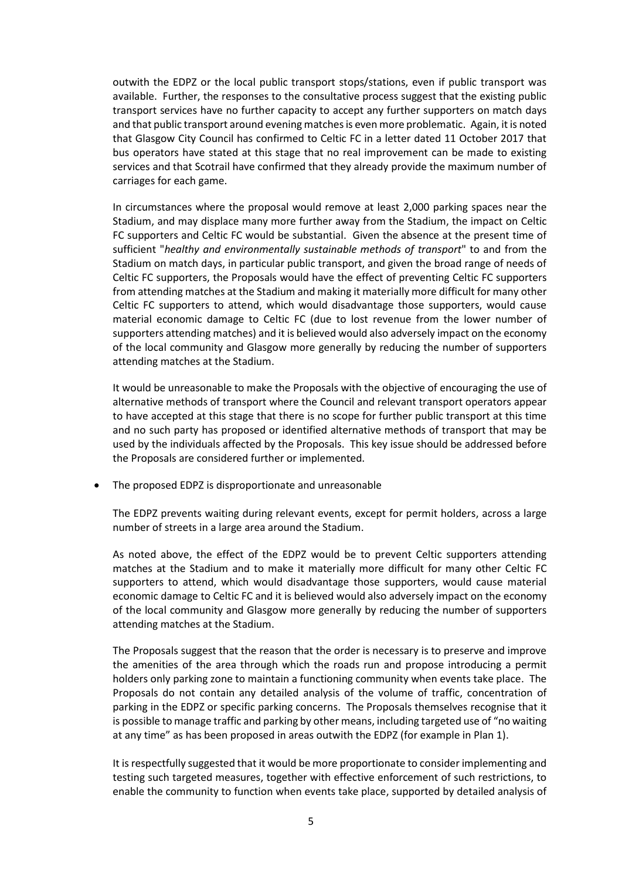outwith the EDPZ or the local public transport stops/stations, even if public transport was available. Further, the responses to the consultative process suggest that the existing public transport services have no further capacity to accept any further supporters on match days and that public transport around evening matches is even more problematic. Again, it is noted that Glasgow City Council has confirmed to Celtic FC in a letter dated 11 October 2017 that bus operators have stated at this stage that no real improvement can be made to existing services and that Scotrail have confirmed that they already provide the maximum number of carriages for each game.

 In circumstances where the proposal would remove at least 2,000 parking spaces near the Stadium, and may displace many more further away from the Stadium, the impact on Celtic FC supporters and Celtic FC would be substantial. Given the absence at the present time of  sufficient "*healthy and environmentally sustainable methods of transport*" to and from the Stadium on match days, in particular public transport, and given the broad range of needs of Celtic FC supporters, the Proposals would have the effect of preventing Celtic FC supporters from attending matches at the Stadium and making it materially more difficult for many other Celtic FC supporters to attend, which would disadvantage those supporters, would cause material economic damage to Celtic FC (due to lost revenue from the lower number of supporters attending matches) and it is believed would also adversely impact on the economy of the local community and Glasgow more generally by reducing the number of supporters attending matches at the Stadium.

attending matches at the Stadium.<br>It would be unreasonable to make the Proposals with the objective of encouraging the use of alternative methods of transport where the Council and relevant transport operators appear to have accepted at this stage that there is no scope for further public transport at this time and no such party has proposed or identified alternative methods of transport that may be used by the individuals affected by the Proposals. This key issue should be addressed before the Proposals are considered further or implemented.

The proposed EDPZ is disproportionate and unreasonable

 The EDPZ prevents waiting during relevant events, except for permit holders, across a large number of streets in a large area around the Stadium.

 As noted above, the effect of the EDPZ would be to prevent Celtic supporters attending matches at the Stadium and to make it materially more difficult for many other Celtic FC economic damage to Celtic FC and it is believed would also adversely impact on the economy of the local community and Glasgow more generally by reducing the number of supporters attending matches at the Stadium. supporters to attend, which would disadvantage those supporters, would cause material

attending matches at the Stadium.<br>The Proposals suggest that the reason that the order is necessary is to preserve and improve the amenities of the area through which the roads run and propose introducing a permit Proposals do not contain any detailed analysis of the volume of traffic, concentration of parking in the EDPZ or specific parking concerns. The Proposals themselves recognise that it is possible to manage traffic and parking by other means, including targeted use of "no waiting holders only parking zone to maintain a functioning community when events take place. The at any time" as has been proposed in areas outwith the EDPZ (for example in Plan 1).

 It is respectfully suggested that it would be more proportionate to consider implementing and enable the community to function when events take place, supported by detailed analysis of testing such targeted measures, together with effective enforcement of such restrictions, to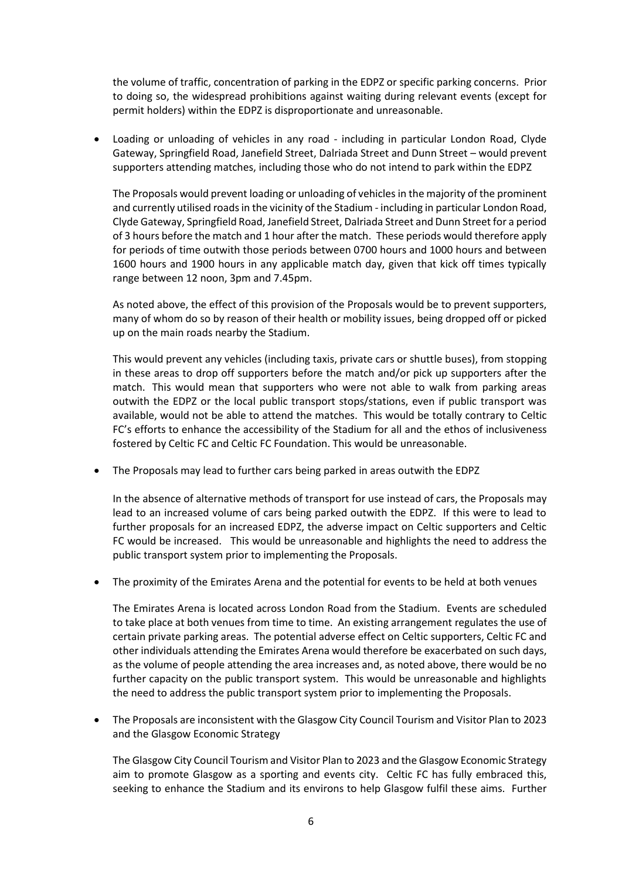the volume of traffic, concentration of parking in the EDPZ or specific parking concerns. Prior to doing so, the widespread prohibitions against waiting during relevant events (except for permit holders) within the EDPZ is disproportionate and unreasonable.

 Loading or unloading of vehicles in any road - including in particular London Road, Clyde Gateway, Springfield Road, Janefield Street, Dalriada Street and Dunn Street – would prevent supporters attending matches, including those who do not intend to park within the EDPZ

 and currently utilised roads in the vicinity of the Stadium - including in particular London Road, Clyde Gateway, Springfield Road, Janefield Street, Dalriada Street and Dunn Street for a period of 3 hours before the match and 1 hour after the match. These periods would therefore apply for periods of time outwith those periods between 0700 hours and 1000 hours and between 1600 hours and 1900 hours in any applicable match day, given that kick off times typically The Proposals would prevent loading or unloading of vehicles in the majority of the prominent range between 12 noon, 3pm and 7.45pm.

 As noted above, the effect of this provision of the Proposals would be to prevent supporters, many of whom do so by reason of their health or mobility issues, being dropped off or picked up on the main roads nearby the Stadium.

 in these areas to drop off supporters before the match and/or pick up supporters after the match. This would mean that supporters who were not able to walk from parking areas outwith the EDPZ or the local public transport stops/stations, even if public transport was available, would not be able to attend the matches. This would be totally contrary to Celtic This would prevent any vehicles (including taxis, private cars or shuttle buses), from stopping FC's efforts to enhance the accessibility of the Stadium for all and the ethos of inclusiveness fostered by Celtic FC and Celtic FC Foundation. This would be unreasonable.

 The Proposals may lead to further cars being parked in areas outwith the EDPZ

 lead to an increased volume of cars being parked outwith the EDPZ. If this were to lead to further proposals for an increased EDPZ, the adverse impact on Celtic supporters and Celtic FC would be increased. This would be unreasonable and highlights the need to address the public transport system prior to implementing the Proposals. In the absence of alternative methods of transport for use instead of cars, the Proposals may

 The proximity of the Emirates Arena and the potential for events to be held at both venues

 The Emirates Arena is located across London Road from the Stadium. Events are scheduled to take place at both venues from time to time. An existing arrangement regulates the use of certain private parking areas. The potential adverse effect on Celtic supporters, Celtic FC and other individuals attending the Emirates Arena would therefore be exacerbated on such days, as the volume of people attending the area increases and, as noted above, there would be no further capacity on the public transport system. This would be unreasonable and highlights the need to address the public transport system prior to implementing the Proposals.

 The Proposals are inconsistent with the Glasgow City Council Tourism and Visitor Plan to 2023 and the Glasgow Economic Strategy

 The Glasgow City Council Tourism and Visitor Plan to 2023 and the Glasgow Economic Strategy aim to promote Glasgow as a sporting and events city. Celtic FC has fully embraced this, seeking to enhance the Stadium and its environs to help Glasgow fulfil these aims. Further